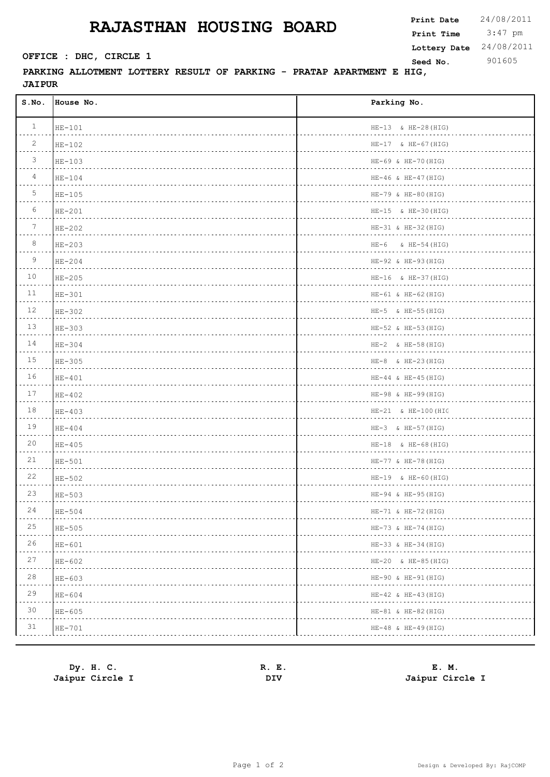## **RAJASTHAN HOUSING BOARD**

**PARKING ALLOTMENT LOTTERY RESULT OF PARKING - PRATAP APARTMENT E HIG, JAIPUR** 

| S.NO.           | House No. | Parking No.                  |
|-----------------|-----------|------------------------------|
| $\mathbf{1}$    | $HE-101$  | HE-13 & HE-28 (HIG)          |
| 2               | $HE-102$  | $HE-17$ & $HE-67(HIG)$<br>.  |
| $\mathcal{S}$   | HE-103    | HE-69 & HE-70 (HIG)          |
| $\overline{4}$  | $HE-104$  | $HE-46$ & $HE-47$ (HIG)<br>. |
| 5               | $HE-105$  | HE-79 & HE-80 (HIG)          |
| 6               | $HE-201$  | $HE-15$ & $HE-30$ (HIG)      |
| $7\phantom{.0}$ | $HE-202$  | $HE-31$ & $HE-32$ (HIG)      |
| 8               | $HE-203$  | $HE-6$ & $HE-54$ (HIG)       |
| 9               | $HE-204$  | HE-92 & HE-93 (HIG)          |
| 10              | $HE-205$  | $HE-16$ & $HE-37$ (HIG)<br>. |
| 11              | $HE-301$  | $HE-61$ & $HE-62$ (HIG)<br>. |
| 12              | $HE-302$  | $HE-5$ & $HE-55(HIG)$        |
| 13              | $HE-303$  | HE-52 & HE-53 (HIG)<br>.     |
| 14              | $HE-304$  | $HE-2$ & $HE-58$ (HIG)<br>.  |
| 15              | $HE-305$  | $HE-8$ & $HE-23(HIG)$        |
| 16              | $HE-401$  | $HE-44 \& HE-45 (HIG)$       |
| 17              | $HE-402$  | HE-98 & HE-99 (HIG)          |
| 18              | $HE-403$  | HE-21 & HE-100 (HIG          |
| 19              | $HE-404$  | $HE-3$ & $HE-57(HIG)$        |
| 20              | $HE-405$  | $HE-18$ & $HE-68$ (HIG)      |
| 21              | $HE-501$  | HE-77 & HE-78 (HIG)          |
| 22              | HE-502    | $HE-19$ & $HE-60$ (HIG)      |
| 23              | HE-503    | HE-94 & HE-95 (HIG)          |
| 24              | $HE-504$  | $HE-71$ & $HE-72$ (HIG)      |
| 25              | $HE-505$  | HE-73 & HE-74 (HIG)          |
| 26              | $HE-601$  | $HE-33$ & $HE-34$ (HIG)      |
| 27              | $HE-602$  | HE-20 & HE-85 (HIG)          |
| $28$            | $HE-603$  | HE-90 & HE-91 (HIG)          |
| 29              | $HE-604$  | $HE-42$ & $HE-43$ (HIG)      |
| 30              | $HE-605$  | $HE-81$ & $HE-82$ (HIG)      |
| 31              | HE-701    | $HE-48$ & $HE-49$ (HIG)      |

| Dy. H. C.       | Е.<br>к. | E. M.           |
|-----------------|----------|-----------------|
| Jaipur Circle I | DIV      | Jaipur Circle I |